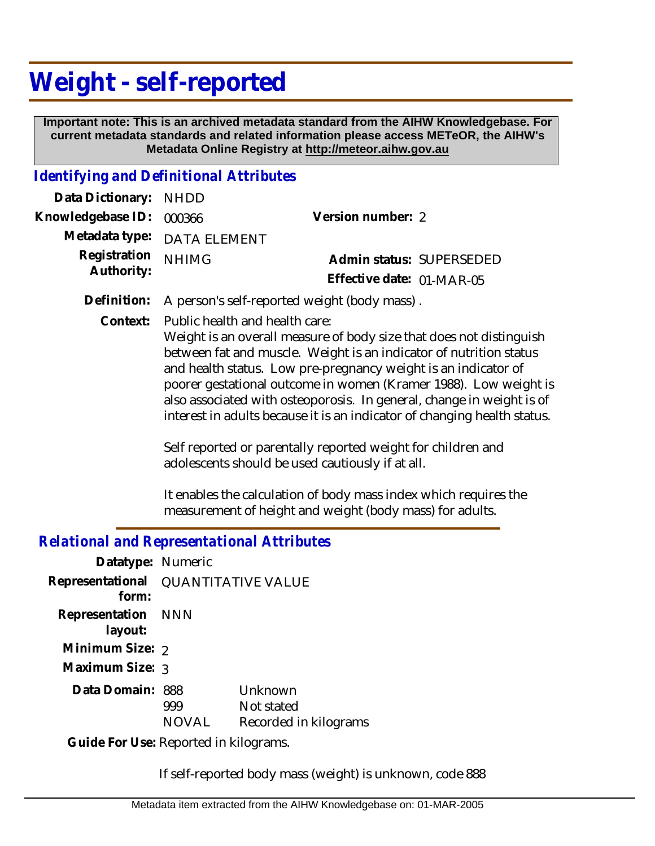## **Weight - self-reported**

 **Important note: This is an archived metadata standard from the AIHW Knowledgebase. For current metadata standards and related information please access METeOR, the AIHW's Metadata Online Registry at http://meteor.aihw.gov.au**

## *Identifying and Definitional Attributes*

| Data Dictionary: NHDD         |                             |                           |  |
|-------------------------------|-----------------------------|---------------------------|--|
| Knowledgebase ID: 000366      |                             | Version number: 2         |  |
|                               | Metadata type: DATA ELEMENT |                           |  |
| Registration <sub>NHIMG</sub> |                             | Admin status: SUPERSEDED  |  |
| Authority:                    |                             | Effective date: 01-MAR-05 |  |

**Definition:** A person's self-reported weight (body mass) .

Public health and health care: **Context:**

> Weight is an overall measure of body size that does not distinguish between fat and muscle. Weight is an indicator of nutrition status and health status. Low pre-pregnancy weight is an indicator of poorer gestational outcome in women (Kramer 1988). Low weight is also associated with osteoporosis. In general, change in weight is of interest in adults because it is an indicator of changing health status.

Self reported or parentally reported weight for children and adolescents should be used cautiously if at all.

It enables the calculation of body mass index which requires the measurement of height and weight (body mass) for adults.

## *Relational and Representational Attributes*

| Datatype: Numeric             |                           |                                                |
|-------------------------------|---------------------------|------------------------------------------------|
| Representational<br>form:     | <b>QUANTITATIVE VALUE</b> |                                                |
| Representation NNN<br>layout: |                           |                                                |
| Minimum Size: 2               |                           |                                                |
| Maximum Size: 3               |                           |                                                |
| Data Domain: 888              | 999<br><b>NOVAL</b>       | Unknown<br>Not stated<br>Recorded in kilograms |
|                               |                           |                                                |

Guide For Use: Reported in kilograms.

If self-reported body mass (weight) is unknown, code 888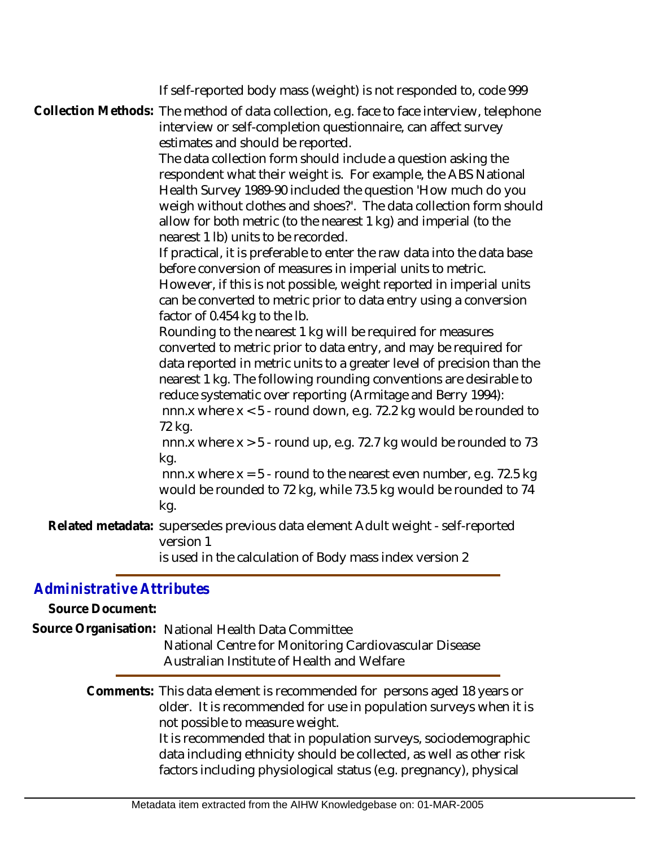|                                               | If self-reported body mass (weight) is not responded to, code 999<br>Collection Methods: The method of data collection, e.g. face to face interview, telephone<br>interview or self-completion questionnaire, can affect survey<br>estimates and should be reported.<br>The data collection form should include a question asking the<br>respondent what their weight is. For example, the ABS National<br>Health Survey 1989-90 included the question 'How much do you<br>weigh without clothes and shoes?'. The data collection form should<br>allow for both metric (to the nearest 1 kg) and imperial (to the<br>nearest 1 lb) units to be recorded.<br>If practical, it is preferable to enter the raw data into the data base<br>before conversion of measures in imperial units to metric.<br>However, if this is not possible, weight reported in imperial units<br>can be converted to metric prior to data entry using a conversion<br>factor of 0.454 kg to the Ib.<br>Rounding to the nearest 1 kg will be required for measures<br>converted to metric prior to data entry, and may be required for<br>data reported in metric units to a greater level of precision than the<br>nearest 1 kg. The following rounding conventions are desirable to<br>reduce systematic over reporting (Armitage and Berry 1994):<br>nnn.x where $x < 5$ - round down, e.g. 72.2 kg would be rounded to<br>72 kg.<br>nnn.x where $x > 5$ - round up, e.g. 72.7 kg would be rounded to 73<br>kg.<br>nnn.x where $x = 5$ - round to the nearest even number, e.g. 72.5 kg<br>would be rounded to 72 kg, while 73.5 kg would be rounded to 74<br>kg. |
|-----------------------------------------------|------------------------------------------------------------------------------------------------------------------------------------------------------------------------------------------------------------------------------------------------------------------------------------------------------------------------------------------------------------------------------------------------------------------------------------------------------------------------------------------------------------------------------------------------------------------------------------------------------------------------------------------------------------------------------------------------------------------------------------------------------------------------------------------------------------------------------------------------------------------------------------------------------------------------------------------------------------------------------------------------------------------------------------------------------------------------------------------------------------------------------------------------------------------------------------------------------------------------------------------------------------------------------------------------------------------------------------------------------------------------------------------------------------------------------------------------------------------------------------------------------------------------------------------------------------------------------------------------------------------------------------------------|
|                                               | Related metadata: supersedes previous data element Adult weight - self-reported<br>version 1<br>is used in the calculation of Body mass index version 2                                                                                                                                                                                                                                                                                                                                                                                                                                                                                                                                                                                                                                                                                                                                                                                                                                                                                                                                                                                                                                                                                                                                                                                                                                                                                                                                                                                                                                                                                        |
| Administrative Attributes<br>Source Document: | Source Organisation: National Health Data Committee<br>National Centre for Monitoring Cardiovascular Disease<br>Australian Institute of Health and Welfare                                                                                                                                                                                                                                                                                                                                                                                                                                                                                                                                                                                                                                                                                                                                                                                                                                                                                                                                                                                                                                                                                                                                                                                                                                                                                                                                                                                                                                                                                     |
|                                               | Comments: This data element is recommended for persons aged 18 years or<br>older. It is recommended for use in population surveys when it is<br>not possible to measure weight.<br>It is recommended that in population surveys, sociodemographic<br>data including ethnicity should be collected, as well as other risk<br>factors including physiological status (e.g. pregnancy), physical                                                                                                                                                                                                                                                                                                                                                                                                                                                                                                                                                                                                                                                                                                                                                                                                                                                                                                                                                                                                                                                                                                                                                                                                                                                  |